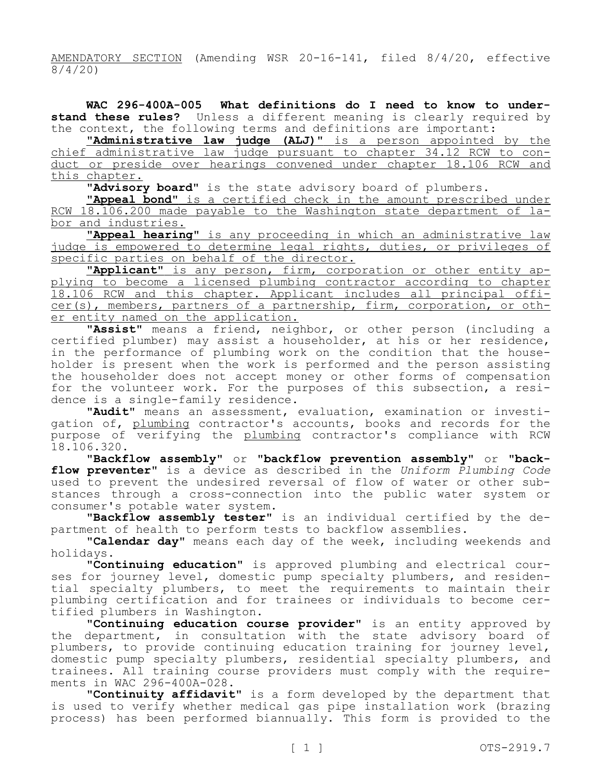AMENDATORY SECTION (Amending WSR 20-16-141, filed 8/4/20, effective 8/4/20)

**WAC 296-400A-005 What definitions do I need to know to understand these rules?** Unless a different meaning is clearly required by the context, the following terms and definitions are important:

**"Administrative law judge (ALJ)"** is a person appointed by the chief administrative law judge pursuant to chapter 34.12 RCW to conduct or preside over hearings convened under chapter 18.106 RCW and this chapter.

**"Advisory board"** is the state advisory board of plumbers.

**"Appeal bond"** is a certified check in the amount prescribed under RCW 18.106.200 made payable to the Washington state department of labor and industries.

**"Appeal hearing"** is any proceeding in which an administrative law judge is empowered to determine legal rights, duties, or privileges of specific parties on behalf of the director.

**"Applicant"** is any person, firm, corporation or other entity applying to become a licensed plumbing contractor according to chapter 18.106 RCW and this chapter. Applicant includes all principal officer(s), members, partners of a partnership, firm, corporation, or other entity named on the application.

**"Assist"** means a friend, neighbor, or other person (including a certified plumber) may assist a householder, at his or her residence, in the performance of plumbing work on the condition that the householder is present when the work is performed and the person assisting the householder does not accept money or other forms of compensation for the volunteer work. For the purposes of this subsection, a residence is a single-family residence.

**"Audit"** means an assessment, evaluation, examination or investigation of, plumbing contractor's accounts, books and records for the purpose of verifying the plumbing contractor's compliance with RCW 18.106.320.

**"Backflow assembly"** or **"backflow prevention assembly"** or **"backflow preventer"** is a device as described in the *Uniform Plumbing Code*  used to prevent the undesired reversal of flow of water or other substances through a cross-connection into the public water system or consumer's potable water system.

**"Backflow assembly tester"** is an individual certified by the department of health to perform tests to backflow assemblies.

**"Calendar day"** means each day of the week, including weekends and holidays.

**"Continuing education"** is approved plumbing and electrical courses for journey level, domestic pump specialty plumbers, and residential specialty plumbers, to meet the requirements to maintain their plumbing certification and for trainees or individuals to become certified plumbers in Washington.

**"Continuing education course provider"** is an entity approved by the department, in consultation with the state advisory board of plumbers, to provide continuing education training for journey level, domestic pump specialty plumbers, residential specialty plumbers, and trainees. All training course providers must comply with the requirements in WAC 296-400A-028.

**"Continuity affidavit"** is a form developed by the department that is used to verify whether medical gas pipe installation work (brazing process) has been performed biannually. This form is provided to the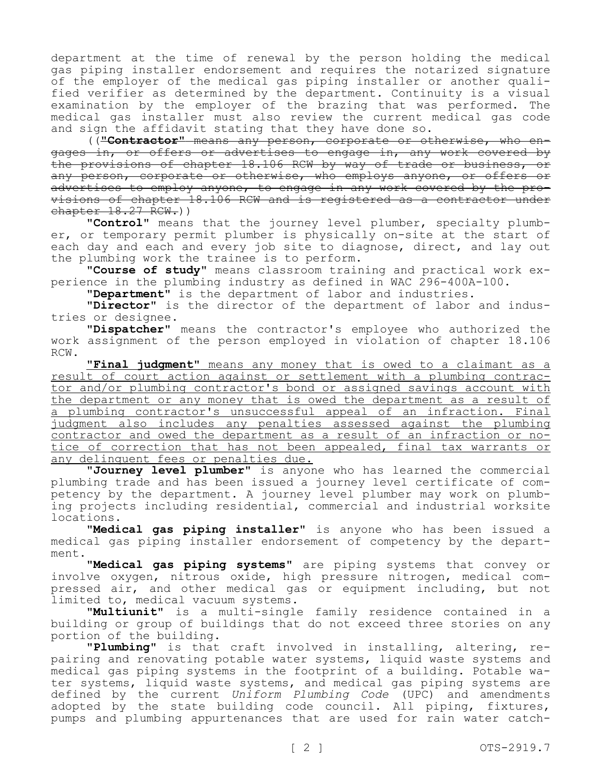department at the time of renewal by the person holding the medical gas piping installer endorsement and requires the notarized signature of the employer of the medical gas piping installer or another qualified verifier as determined by the department. Continuity is a visual examination by the employer of the brazing that was performed. The medical gas installer must also review the current medical gas code and sign the affidavit stating that they have done so.

((**"Contractor"** means any person, corporate or otherwise, who engages in, or offers or advertises to engage in, any work covered by the provisions of chapter 18.106 RCW by way of trade or business, or any person, corporate or otherwise, who employs anyone, or offers or advertises to employ anyone, to engage in any work covered by the provisions of chapter 18.106 RCW and is registered as a contractor under  $chapters 18.27 RCW.)$ 

**"Control"** means that the journey level plumber, specialty plumber, or temporary permit plumber is physically on-site at the start of each day and each and every job site to diagnose, direct, and lay out the plumbing work the trainee is to perform.

**"Course of study"** means classroom training and practical work experience in the plumbing industry as defined in WAC 296-400A-100.

**"Department"** is the department of labor and industries.

**"Director"** is the director of the department of labor and industries or designee.

**"Dispatcher"** means the contractor's employee who authorized the work assignment of the person employed in violation of chapter 18.106 RCW.

**"Final judgment"** means any money that is owed to a claimant as a result of court action against or settlement with a plumbing contractor and/or plumbing contractor's bond or assigned savings account with the department or any money that is owed the department as a result of a plumbing contractor's unsuccessful appeal of an infraction. Final judgment also includes any penalties assessed against the plumbing contractor and owed the department as a result of an infraction or notice of correction that has not been appealed, final tax warrants or any delinquent fees or penalties due.

**"Journey level plumber"** is anyone who has learned the commercial plumbing trade and has been issued a journey level certificate of competency by the department. A journey level plumber may work on plumbing projects including residential, commercial and industrial worksite locations.

**"Medical gas piping installer"** is anyone who has been issued a medical gas piping installer endorsement of competency by the department.

**"Medical gas piping systems"** are piping systems that convey or involve oxygen, nitrous oxide, high pressure nitrogen, medical compressed air, and other medical gas or equipment including, but not limited to, medical vacuum systems.

**"Multiunit"** is a multi-single family residence contained in a building or group of buildings that do not exceed three stories on any portion of the building.

**"Plumbing"** is that craft involved in installing, altering, repairing and renovating potable water systems, liquid waste systems and medical gas piping systems in the footprint of a building. Potable water systems, liquid waste systems, and medical gas piping systems are defined by the current *Uniform Plumbing Code* (UPC) and amendments adopted by the state building code council. All piping, fixtures, pumps and plumbing appurtenances that are used for rain water catch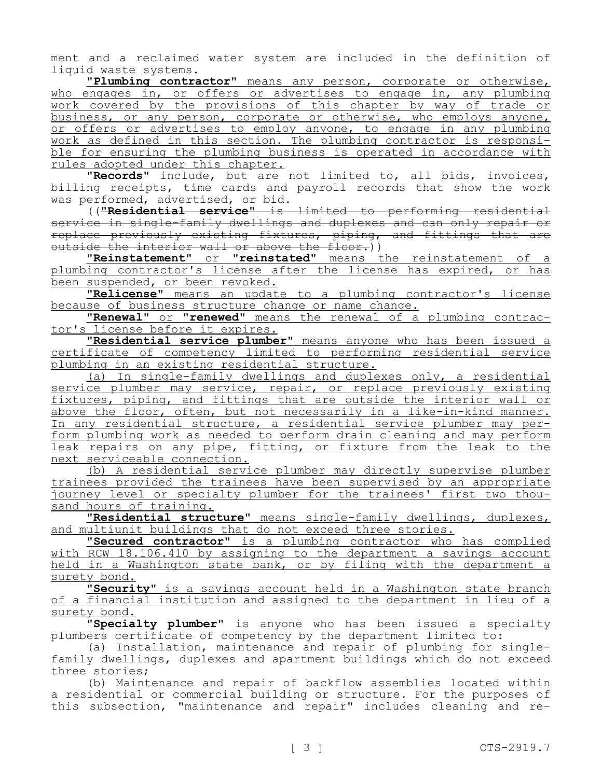ment and a reclaimed water system are included in the definition of liquid waste systems.

**"Plumbing contractor"** means any person, corporate or otherwise, who engages in, or offers or advertises to engage in, any plumbing work covered by the provisions of this chapter by way of trade or business, or any person, corporate or otherwise, who employs anyone, or offers or advertises to employ anyone, to engage in any plumbing work as defined in this section. The plumbing contractor is responsible for ensuring the plumbing business is operated in accordance with rules adopted under this chapter.

**"Records"** include, but are not limited to, all bids, invoices, billing receipts, time cards and payroll records that show the work was performed, advertised, or bid.

((**"Residential service"** is limited to performing residential service in single-family dwellings and duplexes and can only repair or replace previously existing fixtures, piping, and fittings that are outside the interior wall or above the floor.))

**"Reinstatement"** or **"reinstated"** means the reinstatement of a plumbing contractor's license after the license has expired, or has been suspended, or been revoked.

**"Relicense"** means an update to a plumbing contractor's license because of business structure change or name change.

**"Renewal"** or **"renewed"** means the renewal of a plumbing contractor's license before it expires.

**"Residential service plumber"** means anyone who has been issued a certificate of competency limited to performing residential service plumbing in an existing residential structure.

(a) In single-family dwellings and duplexes only, a residential service plumber may service, repair, or replace previously existing fixtures, piping, and fittings that are outside the interior wall or above the floor, often, but not necessarily in a like-in-kind manner. In any residential structure, a residential service plumber may perform plumbing work as needed to perform drain cleaning and may perform leak repairs on any pipe, fitting, or fixture from the leak to the next serviceable connection.

(b) A residential service plumber may directly supervise plumber trainees provided the trainees have been supervised by an appropriate journey level or specialty plumber for the trainees' first two thousand hours of training.

**"Residential structure"** means single-family dwellings, duplexes, and multiunit buildings that do not exceed three stories.

**"Secured contractor"** is a plumbing contractor who has complied with RCW 18.106.410 by assigning to the department a savings account held in a Washington state bank, or by filing with the department a surety bond.

**"Security"** is a savings account held in a Washington state branch of a financial institution and assigned to the department in lieu of a surety bond.

**"Specialty plumber"** is anyone who has been issued a specialty plumbers certificate of competency by the department limited to:

(a) Installation, maintenance and repair of plumbing for singlefamily dwellings, duplexes and apartment buildings which do not exceed three stories;

(b) Maintenance and repair of backflow assemblies located within a residential or commercial building or structure. For the purposes of this subsection, "maintenance and repair" includes cleaning and re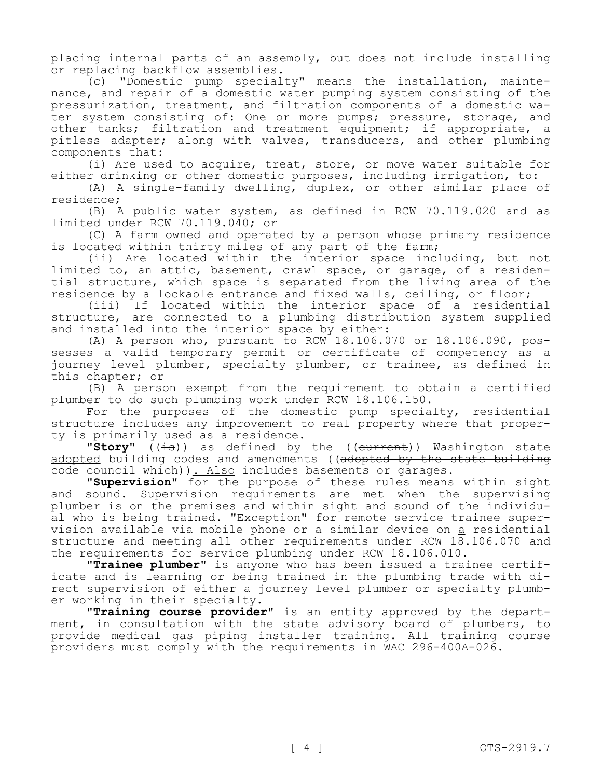placing internal parts of an assembly, but does not include installing or replacing backflow assemblies.

(c) "Domestic pump specialty" means the installation, maintenance, and repair of a domestic water pumping system consisting of the pressurization, treatment, and filtration components of a domestic water system consisting of: One or more pumps; pressure, storage, and other tanks; filtration and treatment equipment; if appropriate, a pitless adapter; along with valves, transducers, and other plumbing components that:

(i) Are used to acquire, treat, store, or move water suitable for either drinking or other domestic purposes, including irrigation, to:

(A) A single-family dwelling, duplex, or other similar place of residence;

(B) A public water system, as defined in RCW 70.119.020 and as limited under RCW 70.119.040; or

(C) A farm owned and operated by a person whose primary residence is located within thirty miles of any part of the farm;

(ii) Are located within the interior space including, but not limited to, an attic, basement, crawl space, or garage, of a residential structure, which space is separated from the living area of the residence by a lockable entrance and fixed walls, ceiling, or floor;

(iii) If located within the interior space of a residential structure, are connected to a plumbing distribution system supplied and installed into the interior space by either:

(A) A person who, pursuant to RCW 18.106.070 or 18.106.090, possesses a valid temporary permit or certificate of competency as a journey level plumber, specialty plumber, or trainee, as defined in this chapter; or

(B) A person exempt from the requirement to obtain a certified plumber to do such plumbing work under RCW 18.106.150.

For the purposes of the domestic pump specialty, residential structure includes any improvement to real property where that property is primarily used as a residence.

"Story" ((is)) as defined by the ((current)) Washington state adopted building codes and amendments ((adopted by the state building eode council which)). Also includes basements or garages.

"Supervision" for the purpose of these rules means within sight and sound. Supervision requirements are met when the supervising plumber is on the premises and within sight and sound of the individual who is being trained. "Exception" for remote service trainee supervision available via mobile phone or a similar device on a residential structure and meeting all other requirements under RCW 18.106.070 and the requirements for service plumbing under RCW 18.106.010.

**"Trainee plumber"** is anyone who has been issued a trainee certificate and is learning or being trained in the plumbing trade with direct supervision of either a journey level plumber or specialty plumber working in their specialty.

**"Training course provider"** is an entity approved by the department, in consultation with the state advisory board of plumbers, to provide medical gas piping installer training. All training course providers must comply with the requirements in WAC 296-400A-026.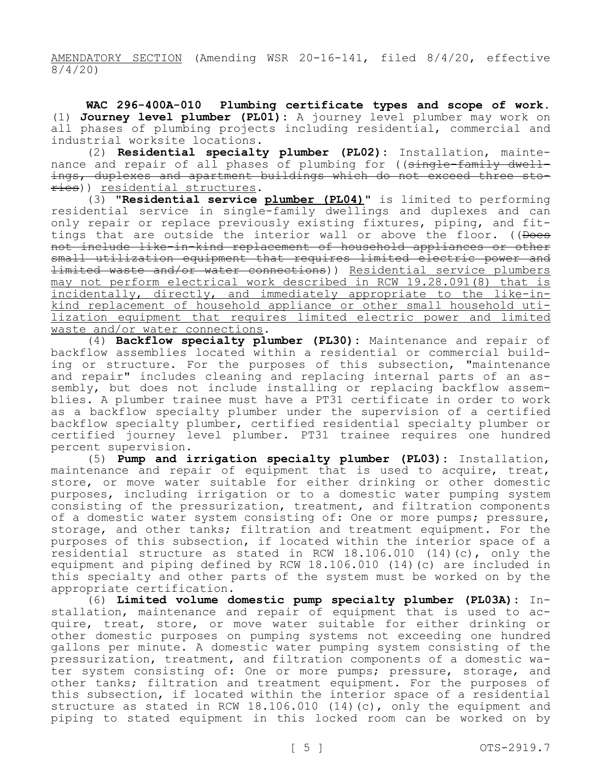AMENDATORY SECTION (Amending WSR 20-16-141, filed 8/4/20, effective 8/4/20)

**WAC 296-400A-010 Plumbing certificate types and scope of work.**  (1) **Journey level plumber (PL01):** A journey level plumber may work on all phases of plumbing projects including residential, commercial and industrial worksite locations.

(2) **Residential specialty plumber (PL02):** Installation, maintenance and repair of all phases of plumbing for ((single-family dwellings, duplexes and apartment buildings which do not exceed three stories)) residential structures.

(3) **"Residential service plumber (PL04)"** is limited to performing residential service in single-family dwellings and duplexes and can only repair or replace previously existing fixtures, piping, and fittings that are outside the interior wall or above the floor. ((Does not include like-in-kind replacement of household appliances or other small utilization equipment that requires limited electric power and limited waste and/or water connections)) Residential service plumbers may not perform electrical work described in RCW 19.28.091(8) that is incidentally, directly, and immediately appropriate to the like-inkind replacement of household appliance or other small household utilization equipment that requires limited electric power and limited waste and/or water connections.

(4) **Backflow specialty plumber (PL30):** Maintenance and repair of backflow assemblies located within a residential or commercial building or structure. For the purposes of this subsection, "maintenance and repair" includes cleaning and replacing internal parts of an assembly, but does not include installing or replacing backflow assemblies. A plumber trainee must have a PT31 certificate in order to work as a backflow specialty plumber under the supervision of a certified backflow specialty plumber, certified residential specialty plumber or certified journey level plumber. PT31 trainee requires one hundred percent supervision.

(5) **Pump and irrigation specialty plumber (PL03):** Installation, maintenance and repair of equipment that is used to acquire, treat, store, or move water suitable for either drinking or other domestic purposes, including irrigation or to a domestic water pumping system consisting of the pressurization, treatment, and filtration components of a domestic water system consisting of: One or more pumps; pressure, storage, and other tanks; filtration and treatment equipment. For the purposes of this subsection, if located within the interior space of a residential structure as stated in RCW 18.106.010 (14)(c), only the equipment and piping defined by RCW 18.106.010 (14)(c) are included in this specialty and other parts of the system must be worked on by the appropriate certification.

(6) **Limited volume domestic pump specialty plumber (PL03A):** Installation, maintenance and repair of equipment that is used to acquire, treat, store, or move water suitable for either drinking or other domestic purposes on pumping systems not exceeding one hundred gallons per minute. A domestic water pumping system consisting of the pressurization, treatment, and filtration components of a domestic water system consisting of: One or more pumps; pressure, storage, and other tanks; filtration and treatment equipment. For the purposes of this subsection, if located within the interior space of a residential structure as stated in RCW 18.106.010 (14)(c), only the equipment and piping to stated equipment in this locked room can be worked on by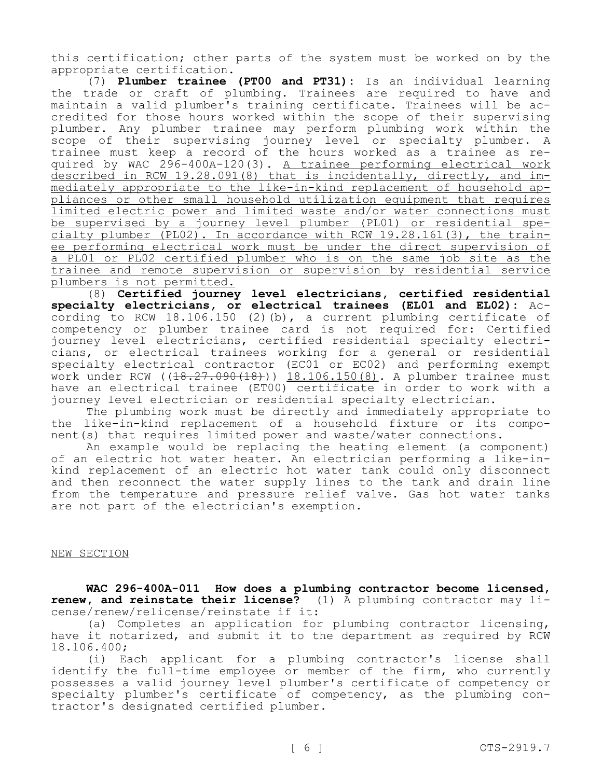this certification; other parts of the system must be worked on by the appropriate certification.

(7) **Plumber trainee (PT00 and PT31):** Is an individual learning the trade or craft of plumbing. Trainees are required to have and maintain a valid plumber's training certificate. Trainees will be accredited for those hours worked within the scope of their supervising plumber. Any plumber trainee may perform plumbing work within the scope of their supervising journey level or specialty plumber. A trainee must keep a record of the hours worked as a trainee as required by WAC 296-400A-120(3). A trainee performing electrical work described in RCW 19.28.091(8) that is incidentally, directly, and immediately appropriate to the like-in-kind replacement of household appliances or other small household utilization equipment that requires limited electric power and limited waste and/or water connections must be supervised by a journey level plumber (PL01) or residential specialty plumber (PL02). In accordance with RCW 19.28.161(3), the trainee performing electrical work must be under the direct supervision of a PL01 or PL02 certified plumber who is on the same job site as the trainee and remote supervision or supervision by residential service plumbers is not permitted.

(8) **Certified journey level electricians, certified residential specialty electricians, or electrical trainees (EL01 and EL02):** According to RCW 18.106.150 (2)(b), a current plumbing certificate of competency or plumber trainee card is not required for: Certified journey level electricians, certified residential specialty electricians, or electrical trainees working for a general or residential specialty electrical contractor (EC01 or EC02) and performing exempt work under RCW ((18.27.090(18))) 18.106.150(8). A plumber trainee must have an electrical trainee (ET00) certificate in order to work with a journey level electrician or residential specialty electrician.

The plumbing work must be directly and immediately appropriate to the like-in-kind replacement of a household fixture or its component(s) that requires limited power and waste/water connections.

An example would be replacing the heating element (a component) of an electric hot water heater. An electrician performing a like-inkind replacement of an electric hot water tank could only disconnect and then reconnect the water supply lines to the tank and drain line from the temperature and pressure relief valve. Gas hot water tanks are not part of the electrician's exemption.

### NEW SECTION

**WAC 296-400A-011 How does a plumbing contractor become licensed, renew, and reinstate their license?** (1) A plumbing contractor may license/renew/relicense/reinstate if it:

(a) Completes an application for plumbing contractor licensing, have it notarized, and submit it to the department as required by RCW 18.106.400;

(i) Each applicant for a plumbing contractor's license shall identify the full-time employee or member of the firm, who currently possesses a valid journey level plumber's certificate of competency or specialty plumber's certificate of competency, as the plumbing contractor's designated certified plumber.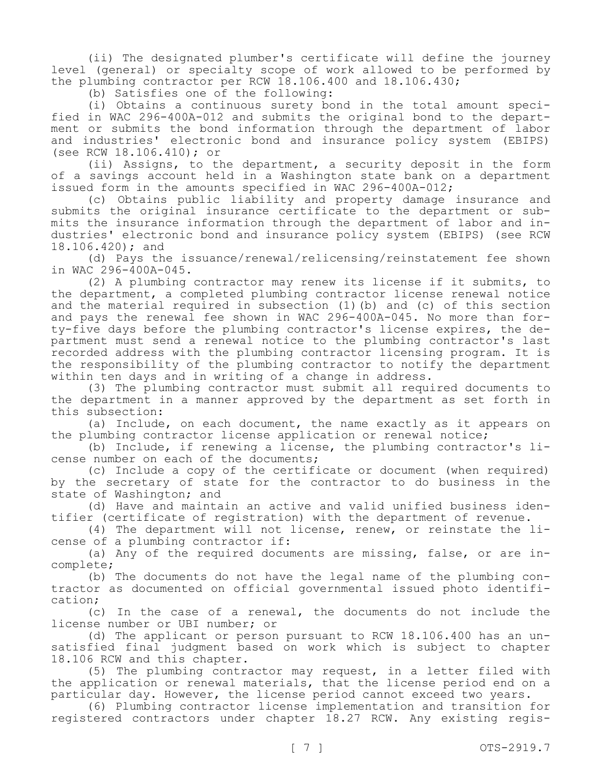(ii) The designated plumber's certificate will define the journey level (general) or specialty scope of work allowed to be performed by the plumbing contractor per RCW 18.106.400 and 18.106.430;

(b) Satisfies one of the following:

(i) Obtains a continuous surety bond in the total amount specified in WAC 296-400A-012 and submits the original bond to the department or submits the bond information through the department of labor and industries' electronic bond and insurance policy system (EBIPS) (see RCW 18.106.410); or

(ii) Assigns, to the department, a security deposit in the form of a savings account held in a Washington state bank on a department issued form in the amounts specified in WAC 296-400A-012;

(c) Obtains public liability and property damage insurance and submits the original insurance certificate to the department or submits the insurance information through the department of labor and industries' electronic bond and insurance policy system (EBIPS) (see RCW 18.106.420); and

(d) Pays the issuance/renewal/relicensing/reinstatement fee shown in WAC 296-400A-045.

(2) A plumbing contractor may renew its license if it submits, to the department, a completed plumbing contractor license renewal notice and the material required in subsection (1)(b) and (c) of this section and pays the renewal fee shown in WAC 296-400A-045. No more than forty-five days before the plumbing contractor's license expires, the department must send a renewal notice to the plumbing contractor's last recorded address with the plumbing contractor licensing program. It is the responsibility of the plumbing contractor to notify the department within ten days and in writing of a change in address.

(3) The plumbing contractor must submit all required documents to the department in a manner approved by the department as set forth in this subsection:

(a) Include, on each document, the name exactly as it appears on the plumbing contractor license application or renewal notice;

(b) Include, if renewing a license, the plumbing contractor's license number on each of the documents;

(c) Include a copy of the certificate or document (when required) by the secretary of state for the contractor to do business in the state of Washington; and

(d) Have and maintain an active and valid unified business identifier (certificate of registration) with the department of revenue.

(4) The department will not license, renew, or reinstate the license of a plumbing contractor if:

(a) Any of the required documents are missing, false, or are incomplete;

(b) The documents do not have the legal name of the plumbing contractor as documented on official governmental issued photo identification;

(c) In the case of a renewal, the documents do not include the license number or UBI number; or

(d) The applicant or person pursuant to RCW 18.106.400 has an unsatisfied final judgment based on work which is subject to chapter 18.106 RCW and this chapter.

(5) The plumbing contractor may request, in a letter filed with the application or renewal materials, that the license period end on a particular day. However, the license period cannot exceed two years.

(6) Plumbing contractor license implementation and transition for registered contractors under chapter 18.27 RCW. Any existing regis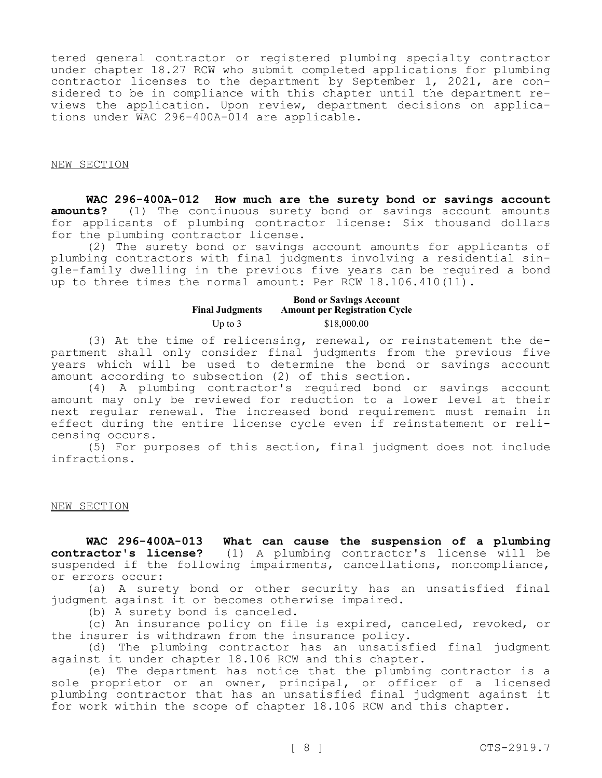tered general contractor or registered plumbing specialty contractor under chapter 18.27 RCW who submit completed applications for plumbing contractor licenses to the department by September 1, 2021, are considered to be in compliance with this chapter until the department reviews the application. Upon review, department decisions on applications under WAC 296-400A-014 are applicable.

## NEW SECTION

**WAC 296-400A-012 How much are the surety bond or savings account amounts?** (1) The continuous surety bond or savings account amounts for applicants of plumbing contractor license: Six thousand dollars for the plumbing contractor license.

(2) The surety bond or savings account amounts for applicants of plumbing contractors with final judgments involving a residential single-family dwelling in the previous five years can be required a bond up to three times the normal amount: Per RCW 18.106.410(11).

#### **Final Judgments Bond or Savings Account Amount per Registration Cycle** Up to 3 \$18,000.00

(3) At the time of relicensing, renewal, or reinstatement the department shall only consider final judgments from the previous five years which will be used to determine the bond or savings account amount according to subsection (2) of this section.

(4) A plumbing contractor's required bond or savings account amount may only be reviewed for reduction to a lower level at their next regular renewal. The increased bond requirement must remain in effect during the entire license cycle even if reinstatement or relicensing occurs.

(5) For purposes of this section, final judgment does not include infractions.

### NEW SECTION

**WAC 296-400A-013 What can cause the suspension of a plumbing contractor's license?** (1) A plumbing contractor's license will be suspended if the following impairments, cancellations, noncompliance, or errors occur:

(a) A surety bond or other security has an unsatisfied final judgment against it or becomes otherwise impaired.

(b) A surety bond is canceled.

(c) An insurance policy on file is expired, canceled, revoked, or the insurer is withdrawn from the insurance policy.

(d) The plumbing contractor has an unsatisfied final judgment against it under chapter 18.106 RCW and this chapter.

(e) The department has notice that the plumbing contractor is a sole proprietor or an owner, principal, or officer of a licensed plumbing contractor that has an unsatisfied final judgment against it for work within the scope of chapter 18.106 RCW and this chapter.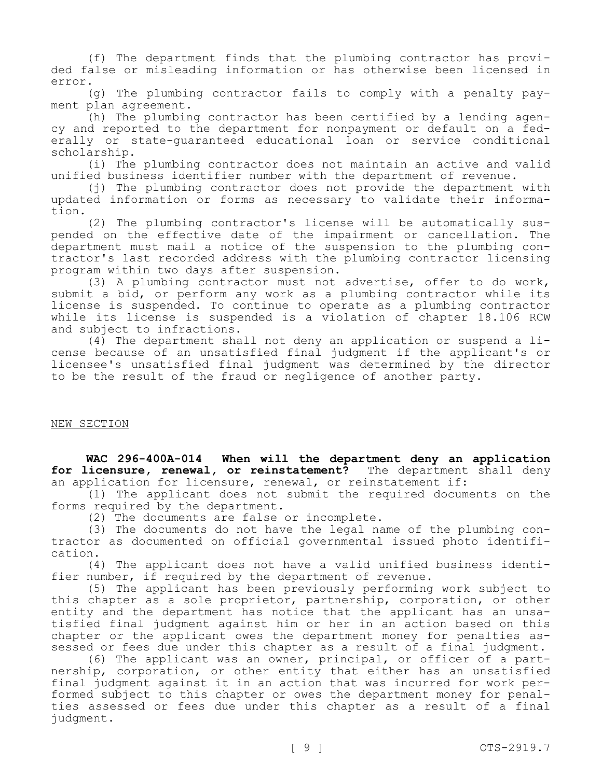(f) The department finds that the plumbing contractor has provided false or misleading information or has otherwise been licensed in error.

(g) The plumbing contractor fails to comply with a penalty payment plan agreement.

(h) The plumbing contractor has been certified by a lending agency and reported to the department for nonpayment or default on a federally or state-guaranteed educational loan or service conditional scholarship.

(i) The plumbing contractor does not maintain an active and valid unified business identifier number with the department of revenue.

(j) The plumbing contractor does not provide the department with updated information or forms as necessary to validate their information.

(2) The plumbing contractor's license will be automatically suspended on the effective date of the impairment or cancellation. The department must mail a notice of the suspension to the plumbing contractor's last recorded address with the plumbing contractor licensing program within two days after suspension.

(3) A plumbing contractor must not advertise, offer to do work, submit a bid, or perform any work as a plumbing contractor while its license is suspended. To continue to operate as a plumbing contractor while its license is suspended is a violation of chapter 18.106 RCW and subject to infractions.

(4) The department shall not deny an application or suspend a license because of an unsatisfied final judgment if the applicant's or licensee's unsatisfied final judgment was determined by the director to be the result of the fraud or negligence of another party.

### NEW SECTION

**WAC 296-400A-014 When will the department deny an application for licensure, renewal, or reinstatement?** The department shall deny an application for licensure, renewal, or reinstatement if:

(1) The applicant does not submit the required documents on the forms required by the department.

(2) The documents are false or incomplete.

(3) The documents do not have the legal name of the plumbing contractor as documented on official governmental issued photo identification.

(4) The applicant does not have a valid unified business identifier number, if required by the department of revenue.

(5) The applicant has been previously performing work subject to this chapter as a sole proprietor, partnership, corporation, or other entity and the department has notice that the applicant has an unsatisfied final judgment against him or her in an action based on this chapter or the applicant owes the department money for penalties assessed or fees due under this chapter as a result of a final judgment.

(6) The applicant was an owner, principal, or officer of a partnership, corporation, or other entity that either has an unsatisfied final judgment against it in an action that was incurred for work performed subject to this chapter or owes the department money for penalties assessed or fees due under this chapter as a result of a final judgment.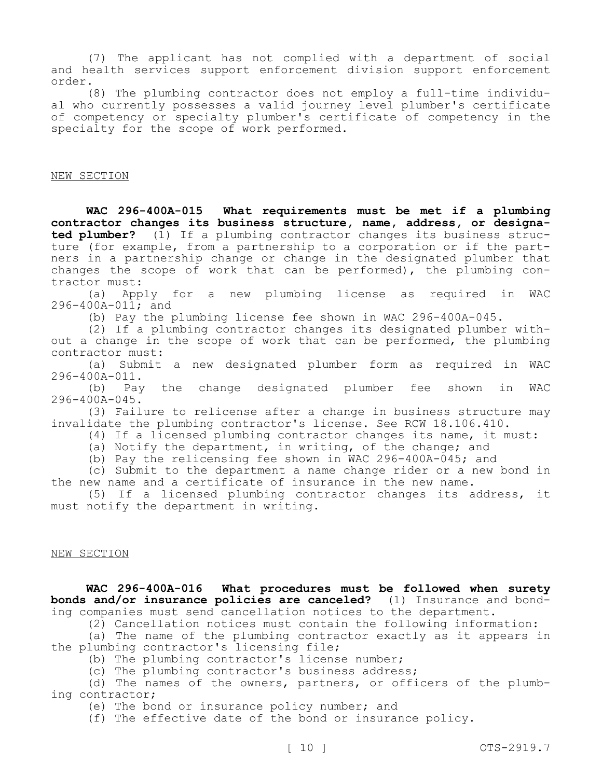(7) The applicant has not complied with a department of social and health services support enforcement division support enforcement order.

(8) The plumbing contractor does not employ a full-time individual who currently possesses a valid journey level plumber's certificate of competency or specialty plumber's certificate of competency in the specialty for the scope of work performed.

#### NEW SECTION

**WAC 296-400A-015 What requirements must be met if a plumbing contractor changes its business structure, name, address, or designated plumber?** (1) If a plumbing contractor changes its business structure (for example, from a partnership to a corporation or if the partners in a partnership change or change in the designated plumber that changes the scope of work that can be performed), the plumbing contractor must:

(a) Apply for a new plumbing license as required in WAC 296-400A-011; and

(b) Pay the plumbing license fee shown in WAC 296-400A-045.

(2) If a plumbing contractor changes its designated plumber without a change in the scope of work that can be performed, the plumbing contractor must:

(a) Submit a new designated plumber form as required in WAC 296-400A-011.

(b) Pay the change designated plumber fee shown in WAC 296-400A-045.

(3) Failure to relicense after a change in business structure may invalidate the plumbing contractor's license. See RCW 18.106.410.

(4) If a licensed plumbing contractor changes its name, it must:

(a) Notify the department, in writing, of the change; and

(b) Pay the relicensing fee shown in WAC 296-400A-045; and

(c) Submit to the department a name change rider or a new bond in the new name and a certificate of insurance in the new name.

(5) If a licensed plumbing contractor changes its address, it must notify the department in writing.

#### NEW SECTION

**WAC 296-400A-016 What procedures must be followed when surety bonds and/or insurance policies are canceled?** (1) Insurance and bonding companies must send cancellation notices to the department.

(2) Cancellation notices must contain the following information:

(a) The name of the plumbing contractor exactly as it appears in the plumbing contractor's licensing file;

(b) The plumbing contractor's license number;

(c) The plumbing contractor's business address;

(d) The names of the owners, partners, or officers of the plumbing contractor;

(e) The bond or insurance policy number; and

(f) The effective date of the bond or insurance policy.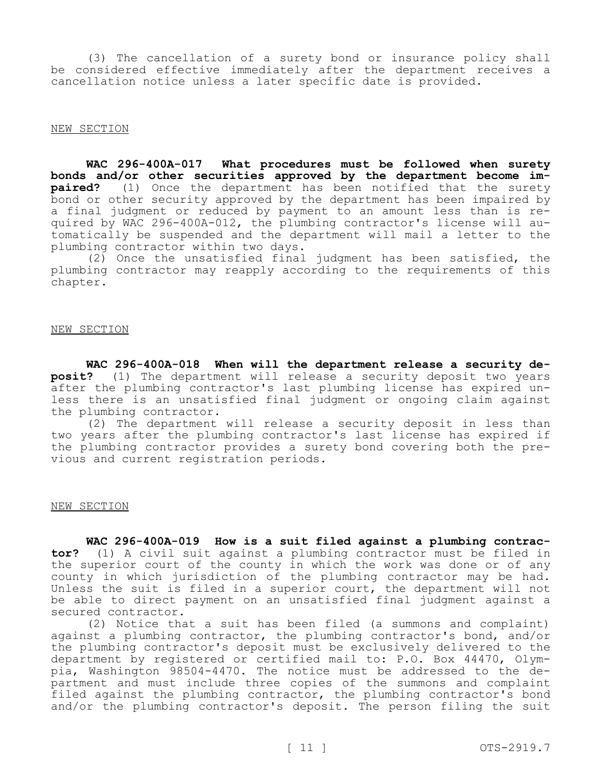(3) The cancellation of a surety bond or insurance policy shall be considered effective immediately after the department receives a cancellation notice unless a later specific date is provided.

#### NEW SECTION

**WAC 296-400A-017 What procedures must be followed when surety bonds and/or other securities approved by the department become impaired?** (1) Once the department has been notified that the surety bond or other security approved by the department has been impaired by a final judgment or reduced by payment to an amount less than is required by WAC 296-400A-012, the plumbing contractor's license will automatically be suspended and the department will mail a letter to the plumbing contractor within two days.

(2) Once the unsatisfied final judgment has been satisfied, the plumbing contractor may reapply according to the requirements of this chapter.

NEW SECTION

**WAC 296-400A-018 When will the department release a security deposit?** (1) The department will release a security deposit two years after the plumbing contractor's last plumbing license has expired unless there is an unsatisfied final judgment or ongoing claim against the plumbing contractor.

(2) The department will release a security deposit in less than two years after the plumbing contractor's last license has expired if the plumbing contractor provides a surety bond covering both the previous and current registration periods.

#### NEW SECTION

**WAC 296-400A-019 How is a suit filed against a plumbing contractor?** (1) A civil suit against a plumbing contractor must be filed in the superior court of the county in which the work was done or of any county in which jurisdiction of the plumbing contractor may be had. Unless the suit is filed in a superior court, the department will not be able to direct payment on an unsatisfied final judgment against a secured contractor.

(2) Notice that a suit has been filed (a summons and complaint) against a plumbing contractor, the plumbing contractor's bond, and/or the plumbing contractor's deposit must be exclusively delivered to the department by registered or certified mail to: P.O. Box 44470, Olympia, Washington 98504-4470. The notice must be addressed to the department and must include three copies of the summons and complaint filed against the plumbing contractor, the plumbing contractor's bond and/or the plumbing contractor's deposit. The person filing the suit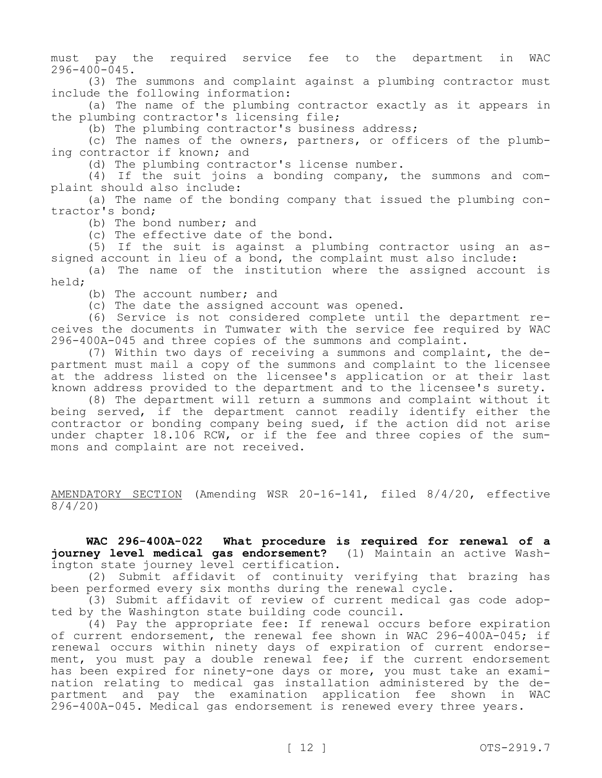must pay the required service fee to the department in WAC 296-400-045.

(3) The summons and complaint against a plumbing contractor must include the following information:

(a) The name of the plumbing contractor exactly as it appears in the plumbing contractor's licensing file;

(b) The plumbing contractor's business address;

(c) The names of the owners, partners, or officers of the plumbing contractor if known; and

(d) The plumbing contractor's license number.

(4) If the suit joins a bonding company, the summons and complaint should also include:

(a) The name of the bonding company that issued the plumbing contractor's bond;

(b) The bond number; and

(c) The effective date of the bond.

(5) If the suit is against a plumbing contractor using an assigned account in lieu of a bond, the complaint must also include:

(a) The name of the institution where the assigned account is held;

(b) The account number; and

(c) The date the assigned account was opened.

(6) Service is not considered complete until the department receives the documents in Tumwater with the service fee required by WAC 296-400A-045 and three copies of the summons and complaint.

(7) Within two days of receiving a summons and complaint, the department must mail a copy of the summons and complaint to the licensee at the address listed on the licensee's application or at their last known address provided to the department and to the licensee's surety.

(8) The department will return a summons and complaint without it being served, if the department cannot readily identify either the contractor or bonding company being sued, if the action did not arise under chapter 18.106 RCW, or if the fee and three copies of the summons and complaint are not received.

AMENDATORY SECTION (Amending WSR 20-16-141, filed 8/4/20, effective 8/4/20)

**WAC 296-400A-022 What procedure is required for renewal of a journey level medical gas endorsement?** (1) Maintain an active Washington state journey level certification.

(2) Submit affidavit of continuity verifying that brazing has been performed every six months during the renewal cycle.

(3) Submit affidavit of review of current medical gas code adopted by the Washington state building code council.

(4) Pay the appropriate fee: If renewal occurs before expiration of current endorsement, the renewal fee shown in WAC 296-400A-045; if renewal occurs within ninety days of expiration of current endorsement, you must pay a double renewal fee; if the current endorsement has been expired for ninety-one days or more, you must take an examination relating to medical gas installation administered by the department and pay the examination application fee shown in WAC 296-400A-045. Medical gas endorsement is renewed every three years.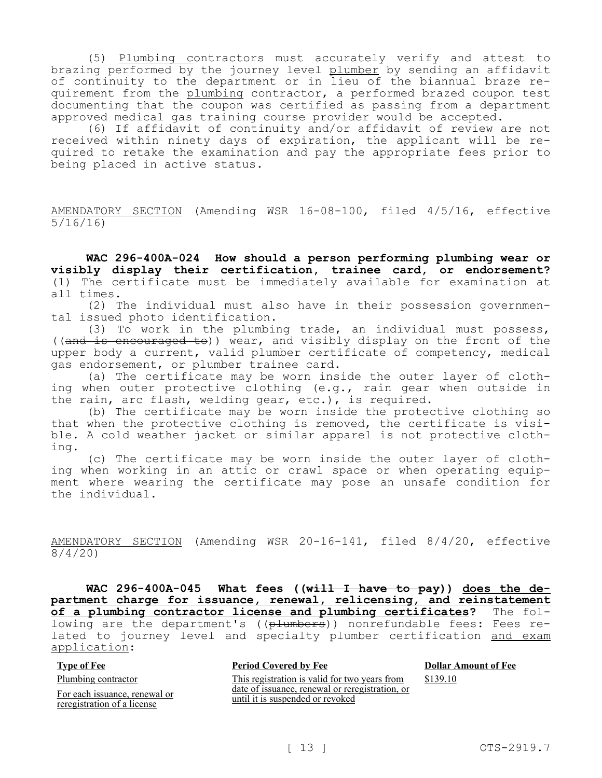(5) Plumbing contractors must accurately verify and attest to brazing performed by the journey level plumber by sending an affidavit of continuity to the department or in lieu of the biannual braze requirement from the plumbing contractor, a performed brazed coupon test documenting that the coupon was certified as passing from a department approved medical gas training course provider would be accepted.

(6) If affidavit of continuity and/or affidavit of review are not received within ninety days of expiration, the applicant will be required to retake the examination and pay the appropriate fees prior to being placed in active status.

AMENDATORY SECTION (Amending WSR 16-08-100, filed 4/5/16, effective 5/16/16)

**WAC 296-400A-024 How should a person performing plumbing wear or visibly display their certification, trainee card, or endorsement?**  (1) The certificate must be immediately available for examination at all times.

(2) The individual must also have in their possession governmental issued photo identification.

(3) To work in the plumbing trade, an individual must possess, ((and is encouraged to)) wear, and visibly display on the front of the upper body a current, valid plumber certificate of competency, medical gas endorsement, or plumber trainee card.

(a) The certificate may be worn inside the outer layer of clothing when outer protective clothing (e.g., rain gear when outside in the rain, arc flash, welding gear, etc.), is required.

(b) The certificate may be worn inside the protective clothing so that when the protective clothing is removed, the certificate is visible. A cold weather jacket or similar apparel is not protective clothing.

(c) The certificate may be worn inside the outer layer of clothing when working in an attic or crawl space or when operating equipment where wearing the certificate may pose an unsafe condition for the individual.

AMENDATORY SECTION (Amending WSR 20-16-141, filed 8/4/20, effective 8/4/20)

**WAC 296-400A-045 What fees ((will I have to pay)) does the department charge for issuance, renewal, relicensing, and reinstatement of a plumbing contractor license and plumbing certificates?** The following are the department's ((plumbers)) nonrefundable fees: Fees related to journey level and specialty plumber certification and exam application:

| <b>Type of Fee</b>                                           | <b>Period Covered by Fee</b>                                                        | <b>Dollar Amount of Fee</b> |
|--------------------------------------------------------------|-------------------------------------------------------------------------------------|-----------------------------|
| Plumbing contractor                                          | This registration is valid for two years from                                       | \$139.10                    |
| For each issuance, renewal or<br>reregistration of a license | date of issuance, renewal or reregistration, or<br>until it is suspended or revoked |                             |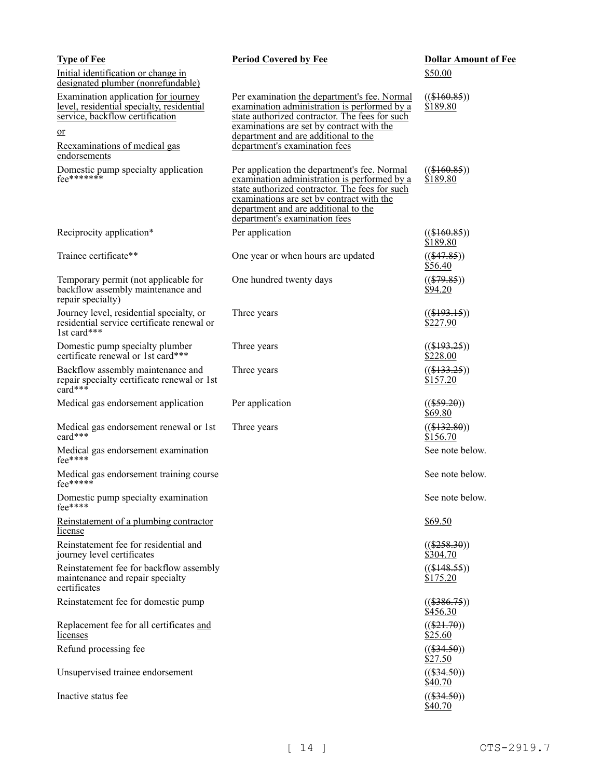| <b>Type of Fee</b>                                                                                                                                                                       | <b>Period Covered by Fee</b>                                                                                                                                                                                                                                         | <b>Dollar Amount of Fee</b> |
|------------------------------------------------------------------------------------------------------------------------------------------------------------------------------------------|----------------------------------------------------------------------------------------------------------------------------------------------------------------------------------------------------------------------------------------------------------------------|-----------------------------|
| Initial identification or change in<br>designated plumber (nonrefundable)                                                                                                                |                                                                                                                                                                                                                                                                      | \$50.00                     |
| Examination application for journey<br><u>level, residential specialty, residential</u><br>service, backflow certification<br><u>or</u><br>Reexaminations of medical gas<br>endorsements | Per examination the department's fee. Normal<br>examination administration is performed by a<br>state authorized contractor. The fees for such<br>examinations are set by contract with the<br>department and are additional to the<br>department's examination fees | $((\$160.85))$<br>\$189.80  |
| Domestic pump specialty application<br>$fee^{*******}$                                                                                                                                   | Per application the department's fee. Normal<br>examination administration is performed by a<br>state authorized contractor. The fees for such<br>examinations are set by contract with the<br>department and are additional to the<br>department's examination fees | $((\$160.85))$<br>\$189.80  |
| Reciprocity application*                                                                                                                                                                 | Per application                                                                                                                                                                                                                                                      | $((\$160.85))$<br>\$189.80  |
| Trainee certificate**                                                                                                                                                                    | One year or when hours are updated                                                                                                                                                                                                                                   | $((\$47.85))$<br>\$56.40    |
| Temporary permit (not applicable for<br>backflow assembly maintenance and<br>repair specialty)                                                                                           | One hundred twenty days                                                                                                                                                                                                                                              | $((\$79.85))$<br>\$94.20    |
| Journey level, residential specialty, or<br>residential service certificate renewal or<br>1st card***                                                                                    | Three years                                                                                                                                                                                                                                                          | $((\$193.15))$<br>\$227.90  |
| Domestic pump specialty plumber<br>certificate renewal or 1st card***                                                                                                                    | Three years                                                                                                                                                                                                                                                          | $((\$193.25))$<br>\$228.00  |
| Backflow assembly maintenance and<br>repair specialty certificate renewal or 1st<br>card***                                                                                              | Three years                                                                                                                                                                                                                                                          | $((\$133.25))$<br>\$157.20  |
| Medical gas endorsement application                                                                                                                                                      | Per application                                                                                                                                                                                                                                                      | $((\$59.20))$<br>\$69.80    |
| Medical gas endorsement renewal or 1st<br>card***                                                                                                                                        | Three years                                                                                                                                                                                                                                                          | $((\$132.80))$<br>\$156.70  |
| Medical gas endorsement examination<br>fee****                                                                                                                                           |                                                                                                                                                                                                                                                                      | See note below.             |
| Medical gas endorsement training course<br>$fee$ *****                                                                                                                                   |                                                                                                                                                                                                                                                                      | See note below.             |
| Domestic pump specialty examination<br>$fee$ ****                                                                                                                                        |                                                                                                                                                                                                                                                                      | See note below.             |
| Reinstatement of a plumbing contractor<br>license                                                                                                                                        |                                                                                                                                                                                                                                                                      | \$69.50                     |
| Reinstatement fee for residential and<br>journey level certificates                                                                                                                      |                                                                                                                                                                                                                                                                      | $((\$258.30))$<br>\$304.70  |
| Reinstatement fee for backflow assembly<br>maintenance and repair specialty<br>certificates                                                                                              |                                                                                                                                                                                                                                                                      | $((\$148.55))$<br>\$175.20  |
| Reinstatement fee for domestic pump                                                                                                                                                      |                                                                                                                                                                                                                                                                      | $((\$386.75))$<br>\$456.30  |
| Replacement fee for all certificates and<br>licenses                                                                                                                                     |                                                                                                                                                                                                                                                                      | $((\$21.70))$<br>\$25.60    |
| Refund processing fee                                                                                                                                                                    |                                                                                                                                                                                                                                                                      | $((\$34.50))$<br>\$27.50    |
| Unsupervised trainee endorsement                                                                                                                                                         |                                                                                                                                                                                                                                                                      | $((\$34.50))$<br>\$40.70    |
| Inactive status fee                                                                                                                                                                      |                                                                                                                                                                                                                                                                      | $((\$34.50))$<br>\$40.70    |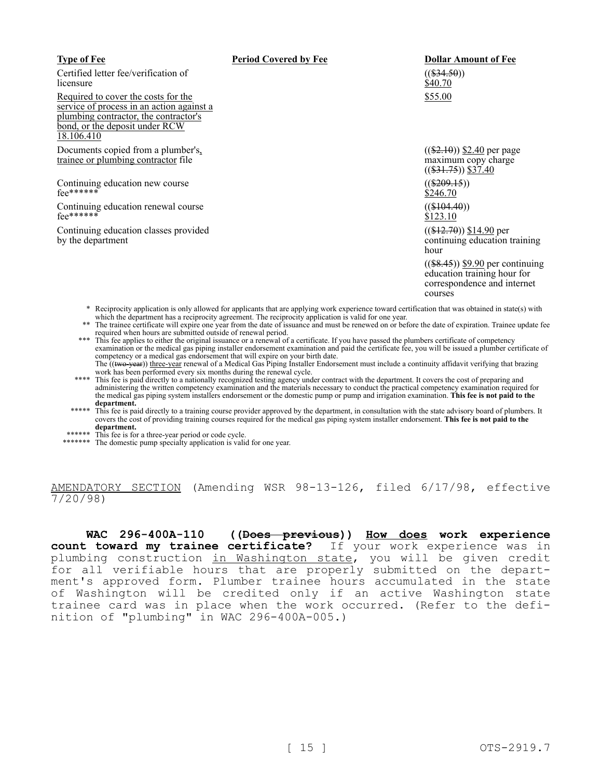| <b>Type of Fee</b>                                                                                                                                                        | <b>Period Covered by Fee</b> | <b>Dollar Amount of Fee</b>                                                                                 |
|---------------------------------------------------------------------------------------------------------------------------------------------------------------------------|------------------------------|-------------------------------------------------------------------------------------------------------------|
| Certified letter fee/verification of<br>licensure                                                                                                                         |                              | $((\$34.50))$<br>\$40.70                                                                                    |
| Required to cover the costs for the<br>service of process in an action against a<br>plumbing contractor, the contractor's<br>bond, or the deposit under RCW<br>18.106.410 |                              | \$55.00                                                                                                     |
| Documents copied from a plumber's,<br>trainee or plumbing contractor file                                                                                                 |                              | $((\$2.10))$ \$2.40 per page<br>maximum copy charge<br>$((\$31.75))$ \$37.40                                |
| Continuing education new course<br>$fee$ ******                                                                                                                           |                              | $((\$209.15))$<br>\$246.70                                                                                  |
| Continuing education renewal course<br>$fee^{******}$                                                                                                                     |                              | $((\$104.40))$<br>\$123.10                                                                                  |
| Continuing education classes provided<br>by the department                                                                                                                |                              | $((\$12.70))$ \$14.90 per<br>continuing education training<br>hour                                          |
|                                                                                                                                                                           |                              | $((\$8.45))$ \$9.90 per continuing<br>education training hour for<br>correspondence and internet<br>courses |

- \* Reciprocity application is only allowed for applicants that are applying work experience toward certification that was obtained in state(s) with which the department has a reciprocity agreement. The reciprocity application is valid for one year.
- \*\* The trainee certificate will expire one year from the date of issuance and must be renewed on or before the date of expiration. Trainee update fee required when hours are submitted outside of renewal period.
- \*\*\* This fee applies to either the original issuance or a renewal of a certificate. If you have passed the plumbers certificate of competency examination or the medical gas piping installer endorsement examination and paid the certificate fee, you will be issued a plumber certificate of competency or a medical gas endorsement that will expire on your birth date. The ((two-year)) three-year renewal of a Medical Gas Piping Installer Endorsement must include a continuity affidavit verifying that brazing
- work has been performed every six months during the renewal cycle. \*\*\*\* This fee is paid directly to a nationally recognized testing agency under contract with the department. It covers the cost of preparing and administering the written competency examination and the materials necessary to conduct the practical competency examination required for the medical gas piping system installers endorsement or the domestic pump or pump and irrigation examination. **This fee is not paid to the department.**
- \*\*\*\*\* This fee is paid directly to a training course provider approved by the department, in consultation with the state advisory board of plumbers. It covers the cost of providing training courses required for the medical gas piping system installer endorsement. **This fee is not paid to the department.**

\*\*\*\*\*\* This fee is for a three-year period or code cycle.

\*\*\*\*\*\*\* The domestic pump specialty application is valid for one year.

AMENDATORY SECTION (Amending WSR 98-13-126, filed 6/17/98, effective 7/20/98)

**WAC 296-400A-110 ((Does previous)) How does work experience count toward my trainee certificate?** If your work experience was in plumbing construction in Washington state, you will be given credit for all verifiable hours that are properly submitted on the department's approved form. Plumber trainee hours accumulated in the state of Washington will be credited only if an active Washington state trainee card was in place when the work occurred. (Refer to the definition of "plumbing" in WAC 296-400A-005.)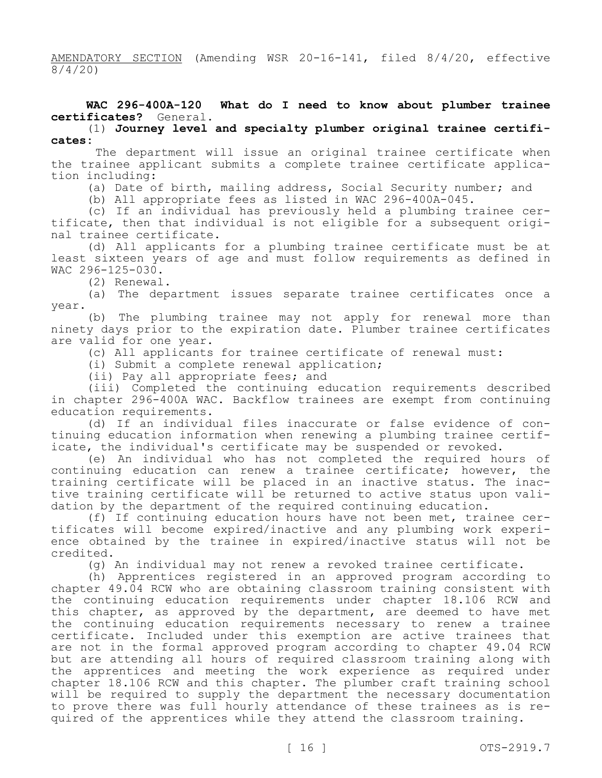AMENDATORY SECTION (Amending WSR 20-16-141, filed 8/4/20, effective 8/4/20)

# **WAC 296-400A-120 What do I need to know about plumber trainee certificates?** General.

(1) **Journey level and specialty plumber original trainee certificates:**

 The department will issue an original trainee certificate when the trainee applicant submits a complete trainee certificate application including:

(a) Date of birth, mailing address, Social Security number; and

(b) All appropriate fees as listed in WAC 296-400A-045.

(c) If an individual has previously held a plumbing trainee certificate, then that individual is not eligible for a subsequent original trainee certificate.

(d) All applicants for a plumbing trainee certificate must be at least sixteen years of age and must follow requirements as defined in WAC 296-125-030.

(2) Renewal.

(a) The department issues separate trainee certificates once a year.

(b) The plumbing trainee may not apply for renewal more than ninety days prior to the expiration date. Plumber trainee certificates are valid for one year.

(c) All applicants for trainee certificate of renewal must:

(i) Submit a complete renewal application;

(ii) Pay all appropriate fees; and

(iii) Completed the continuing education requirements described in chapter 296-400A WAC. Backflow trainees are exempt from continuing education requirements.

(d) If an individual files inaccurate or false evidence of continuing education information when renewing a plumbing trainee certificate, the individual's certificate may be suspended or revoked.

(e) An individual who has not completed the required hours of continuing education can renew a trainee certificate; however, the training certificate will be placed in an inactive status. The inactive training certificate will be returned to active status upon validation by the department of the required continuing education.

(f) If continuing education hours have not been met, trainee certificates will become expired/inactive and any plumbing work experience obtained by the trainee in expired/inactive status will not be credited.

(g) An individual may not renew a revoked trainee certificate.

(h) Apprentices registered in an approved program according to chapter 49.04 RCW who are obtaining classroom training consistent with the continuing education requirements under chapter 18.106 RCW and this chapter, as approved by the department, are deemed to have met the continuing education requirements necessary to renew a trainee certificate. Included under this exemption are active trainees that are not in the formal approved program according to chapter 49.04 RCW but are attending all hours of required classroom training along with the apprentices and meeting the work experience as required under chapter 18.106 RCW and this chapter. The plumber craft training school will be required to supply the department the necessary documentation to prove there was full hourly attendance of these trainees as is required of the apprentices while they attend the classroom training.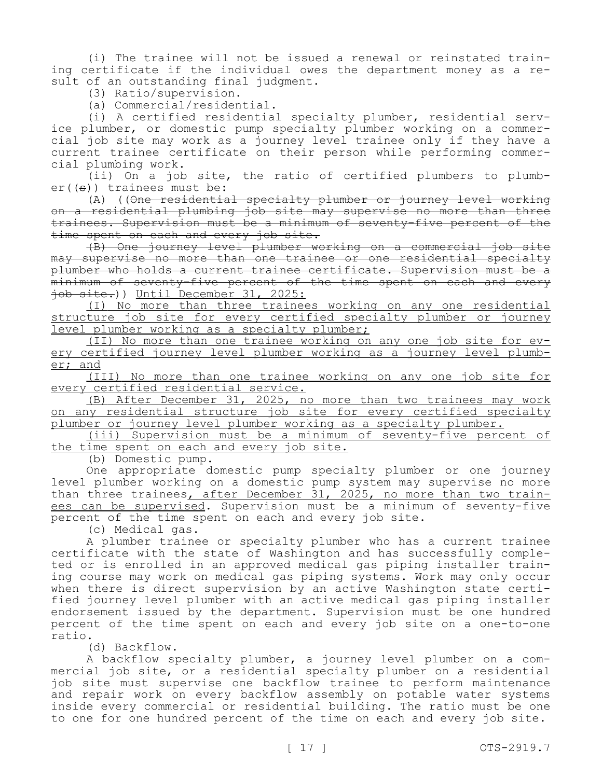(i) The trainee will not be issued a renewal or reinstated training certificate if the individual owes the department money as a result of an outstanding final judgment.

(3) Ratio/supervision.

(a) Commercial/residential.

(i) A certified residential specialty plumber, residential service plumber, or domestic pump specialty plumber working on a commercial job site may work as a journey level trainee only if they have a current trainee certificate on their person while performing commercial plumbing work.

(ii) On a job site, the ratio of certified plumbers to plumb $er((s))$  trainees must be:

(A) ((One residential specialty plumber or journey level working on a residential plumbing job site may supervise no more than three trainees. Supervision must be a minimum of seventy-five percent of the time spent on each and every job site.

(B) One journey level plumber working on a commercial job site may supervise no more than one trainee or one residential specialty plumber who holds a current trainee certificate. Supervision must be a minimum of seventy-five percent of the time spent on each and every job site.)) Until December 31, 2025:

(I) No more than three trainees working on any one residential structure job site for every certified specialty plumber or journey level plumber working as a specialty plumber;

(II) No more than one trainee working on any one job site for every certified journey level plumber working as a journey level plumber; and

(III) No more than one trainee working on any one job site for every certified residential service.

(B) After December 31, 2025, no more than two trainees may work on any residential structure job site for every certified specialty plumber or journey level plumber working as a specialty plumber.

(iii) Supervision must be a minimum of seventy-five percent of the time spent on each and every job site.

(b) Domestic pump.

One appropriate domestic pump specialty plumber or one journey level plumber working on a domestic pump system may supervise no more than three trainees, after December 31, 2025, no more than two trainees can be supervised. Supervision must be a minimum of seventy-five percent of the time spent on each and every job site.

(c) Medical gas.

A plumber trainee or specialty plumber who has a current trainee certificate with the state of Washington and has successfully completed or is enrolled in an approved medical gas piping installer training course may work on medical gas piping systems. Work may only occur when there is direct supervision by an active Washington state certified journey level plumber with an active medical gas piping installer endorsement issued by the department. Supervision must be one hundred percent of the time spent on each and every job site on a one-to-one ratio.

(d) Backflow.

A backflow specialty plumber, a journey level plumber on a commercial job site, or a residential specialty plumber on a residential job site must supervise one backflow trainee to perform maintenance and repair work on every backflow assembly on potable water systems inside every commercial or residential building. The ratio must be one to one for one hundred percent of the time on each and every job site.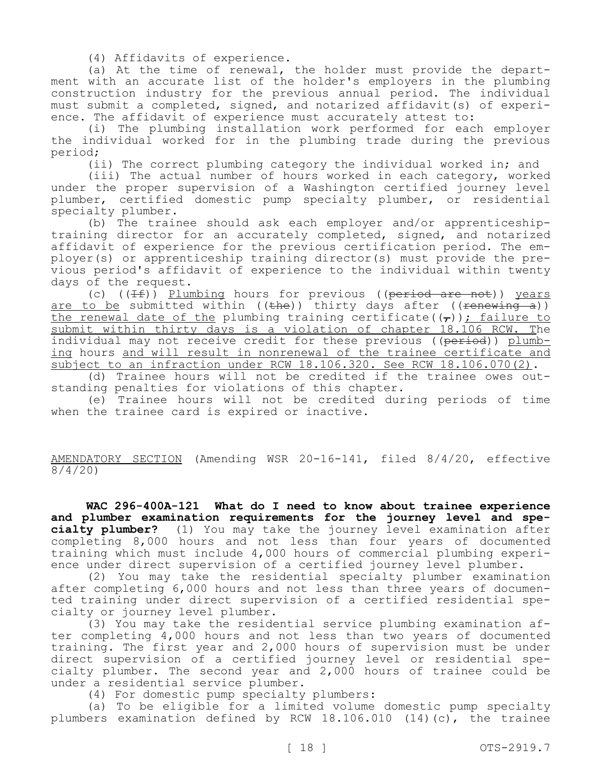(4) Affidavits of experience.

(a) At the time of renewal, the holder must provide the department with an accurate list of the holder's employers in the plumbing construction industry for the previous annual period. The individual must submit a completed, signed, and notarized affidavit(s) of experience. The affidavit of experience must accurately attest to:

(i) The plumbing installation work performed for each employer the individual worked for in the plumbing trade during the previous period;

(ii) The correct plumbing category the individual worked in; and

(iii) The actual number of hours worked in each category, worked under the proper supervision of a Washington certified journey level plumber, certified domestic pump specialty plumber, or residential specialty plumber.

(b) The trainee should ask each employer and/or apprenticeshiptraining director for an accurately completed, signed, and notarized affidavit of experience for the previous certification period. The employer(s) or apprenticeship training director(s) must provide the previous period's affidavit of experience to the individual within twenty days of the request.

(c)  $((If))$  Plumbing hours for previous ((period are not)) years are to be submitted within ((the)) thirty days after ((renewing a)) the renewal date of the plumbing training certificate( $(\tau)$ ); failure to submit within thirty days is a violation of chapter 18.106 RCW. The individual may not receive credit for these previous ((period)) plumbing hours and will result in nonrenewal of the trainee certificate and subject to an infraction under RCW 18.106.320. See RCW 18.106.070(2).

(d) Trainee hours will not be credited if the trainee owes outstanding penalties for violations of this chapter.

(e) Trainee hours will not be credited during periods of time when the trainee card is expired or inactive.

AMENDATORY SECTION (Amending WSR 20-16-141, filed 8/4/20, effective 8/4/20)

**WAC 296-400A-121 What do I need to know about trainee experience and plumber examination requirements for the journey level and specialty plumber?** (1) You may take the journey level examination after completing 8,000 hours and not less than four years of documented training which must include 4,000 hours of commercial plumbing experience under direct supervision of a certified journey level plumber.

(2) You may take the residential specialty plumber examination after completing 6,000 hours and not less than three years of documented training under direct supervision of a certified residential specialty or journey level plumber.

(3) You may take the residential service plumbing examination after completing 4,000 hours and not less than two years of documented training. The first year and 2,000 hours of supervision must be under direct supervision of a certified journey level or residential specialty plumber. The second year and 2,000 hours of trainee could be under a residential service plumber.

(4) For domestic pump specialty plumbers:

(a) To be eligible for a limited volume domestic pump specialty plumbers examination defined by RCW 18.106.010 (14)(c), the trainee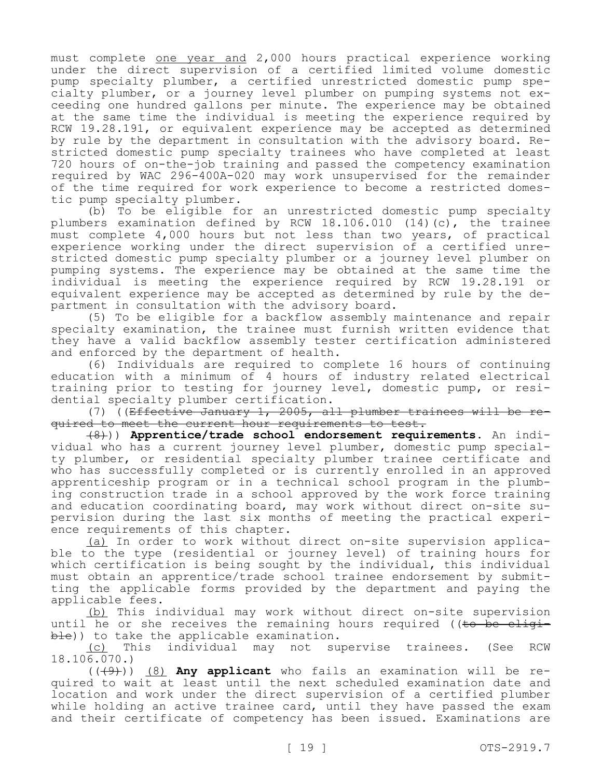must complete one year and 2,000 hours practical experience working under the direct supervision of a certified limited volume domestic pump specialty plumber, a certified unrestricted domestic pump specialty plumber, or a journey level plumber on pumping systems not exceeding one hundred gallons per minute. The experience may be obtained at the same time the individual is meeting the experience required by RCW 19.28.191, or equivalent experience may be accepted as determined by rule by the department in consultation with the advisory board. Restricted domestic pump specialty trainees who have completed at least 720 hours of on-the-job training and passed the competency examination required by WAC 296-400A-020 may work unsupervised for the remainder of the time required for work experience to become a restricted domestic pump specialty plumber.

(b) To be eligible for an unrestricted domestic pump specialty plumbers examination defined by RCW 18.106.010 (14)(c), the trainee must complete 4,000 hours but not less than two years, of practical experience working under the direct supervision of a certified unrestricted domestic pump specialty plumber or a journey level plumber on pumping systems. The experience may be obtained at the same time the individual is meeting the experience required by RCW 19.28.191 or equivalent experience may be accepted as determined by rule by the department in consultation with the advisory board.

(5) To be eligible for a backflow assembly maintenance and repair specialty examination, the trainee must furnish written evidence that they have a valid backflow assembly tester certification administered and enforced by the department of health.

(6) Individuals are required to complete 16 hours of continuing education with a minimum of 4 hours of industry related electrical training prior to testing for journey level, domestic pump, or residential specialty plumber certification.

(7) ((Effective January 1, 2005, all plumber trainees will be required to meet the current hour requirements to test.

(8))) **Apprentice/trade school endorsement requirements**. An individual who has a current journey level plumber, domestic pump specialty plumber, or residential specialty plumber trainee certificate and who has successfully completed or is currently enrolled in an approved apprenticeship program or in a technical school program in the plumbing construction trade in a school approved by the work force training and education coordinating board, may work without direct on-site supervision during the last six months of meeting the practical experience requirements of this chapter.

(a) In order to work without direct on-site supervision applicable to the type (residential or journey level) of training hours for which certification is being sought by the individual, this individual must obtain an apprentice/trade school trainee endorsement by submitting the applicable forms provided by the department and paying the applicable fees.

(b) This individual may work without direct on-site supervision until he or she receives the remaining hours required ( $t$  be eligible)) to take the applicable examination.

(c) This individual may not supervise trainees. (See RCW 18.106.070.)

(((9))) (8) **Any applicant** who fails an examination will be required to wait at least until the next scheduled examination date and location and work under the direct supervision of a certified plumber while holding an active trainee card, until they have passed the exam and their certificate of competency has been issued. Examinations are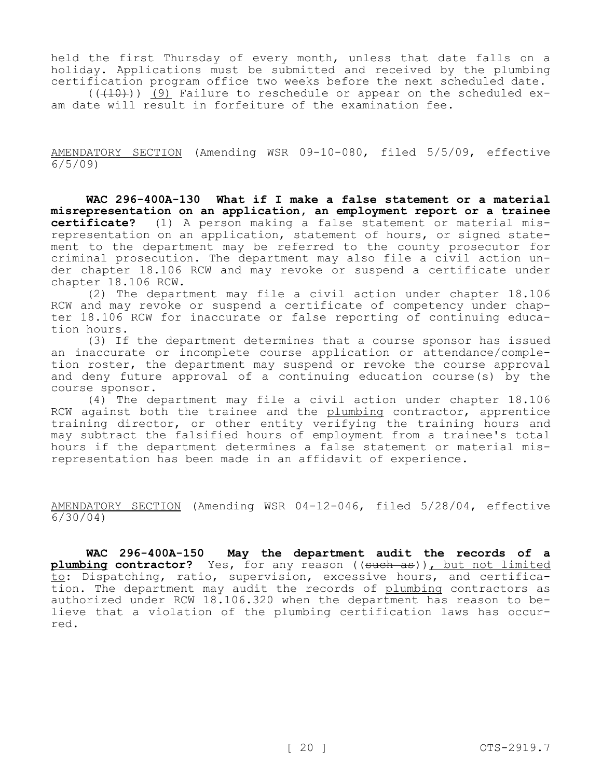held the first Thursday of every month, unless that date falls on a holiday. Applications must be submitted and received by the plumbing certification program office two weeks before the next scheduled date.

 $((+10))$  (9) Failure to reschedule or appear on the scheduled exam date will result in forfeiture of the examination fee.

AMENDATORY SECTION (Amending WSR 09-10-080, filed 5/5/09, effective 6/5/09)

**WAC 296-400A-130 What if I make a false statement or a material misrepresentation on an application, an employment report or a trainee certificate?** (1) A person making a false statement or material misrepresentation on an application, statement of hours, or signed statement to the department may be referred to the county prosecutor for criminal prosecution. The department may also file a civil action under chapter 18.106 RCW and may revoke or suspend a certificate under chapter 18.106 RCW.

(2) The department may file a civil action under chapter 18.106 RCW and may revoke or suspend a certificate of competency under chapter 18.106 RCW for inaccurate or false reporting of continuing education hours.

(3) If the department determines that a course sponsor has issued an inaccurate or incomplete course application or attendance/completion roster, the department may suspend or revoke the course approval and deny future approval of a continuing education course(s) by the course sponsor.

(4) The department may file a civil action under chapter 18.106 RCW against both the trainee and the plumbing contractor, apprentice training director, or other entity verifying the training hours and may subtract the falsified hours of employment from a trainee's total hours if the department determines a false statement or material misrepresentation has been made in an affidavit of experience.

AMENDATORY SECTION (Amending WSR 04-12-046, filed 5/28/04, effective 6/30/04)

**WAC 296-400A-150 May the department audit the records of a plumbing contractor?** Yes, for any reason ((such as)), but not limited to: Dispatching, ratio, supervision, excessive hours, and certification. The department may audit the records of plumbing contractors as authorized under RCW 18.106.320 when the department has reason to believe that a violation of the plumbing certification laws has occurred.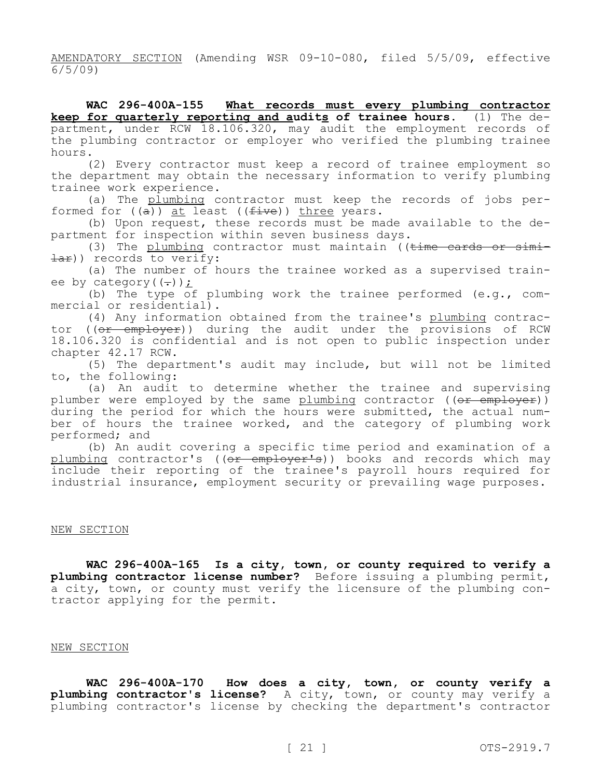AMENDATORY SECTION (Amending WSR 09-10-080, filed 5/5/09, effective 6/5/09)

**WAC 296-400A-155 What records must every plumbing contractor keep for quarterly reporting and audits of trainee hours.** (1) The department, under RCW 18.106.320, may audit the employment records of the plumbing contractor or employer who verified the plumbing trainee hours.

(2) Every contractor must keep a record of trainee employment so the department may obtain the necessary information to verify plumbing trainee work experience.

(a) The plumbing contractor must keep the records of jobs performed for  $((\overline{a}))$  at least  $((\overline{five}))$  three years.

(b) Upon request, these records must be made available to the department for inspection within seven business days.

(3) The plumbing contractor must maintain (( $t$ ime cards or simi- $\exists$ ar)) records to verify:

(a) The number of hours the trainee worked as a supervised trainee by category $((-))$ ;

(b) The type of plumbing work the trainee performed (e.g., commercial or residential).

(4) Any information obtained from the trainee's plumbing contractor ((or employer)) during the audit under the provisions of RCW 18.106.320 is confidential and is not open to public inspection under chapter 42.17 RCW.

(5) The department's audit may include, but will not be limited to, the following:

(a) An audit to determine whether the trainee and supervising plumber were employed by the same plumbing contractor ((or employer)) during the period for which the hours were submitted, the actual number of hours the trainee worked, and the category of plumbing work performed; and

(b) An audit covering a specific time period and examination of a plumbing contractor's (( $\theta$ <del>r employer's</del>)) books and records which may include their reporting of the trainee's payroll hours required for industrial insurance, employment security or prevailing wage purposes.

#### NEW SECTION

**WAC 296-400A-165 Is a city, town, or county required to verify a plumbing contractor license number?** Before issuing a plumbing permit, a city, town, or county must verify the licensure of the plumbing contractor applying for the permit.

#### NEW SECTION

**WAC 296-400A-170 How does a city, town, or county verify a plumbing contractor's license?** A city, town, or county may verify a plumbing contractor's license by checking the department's contractor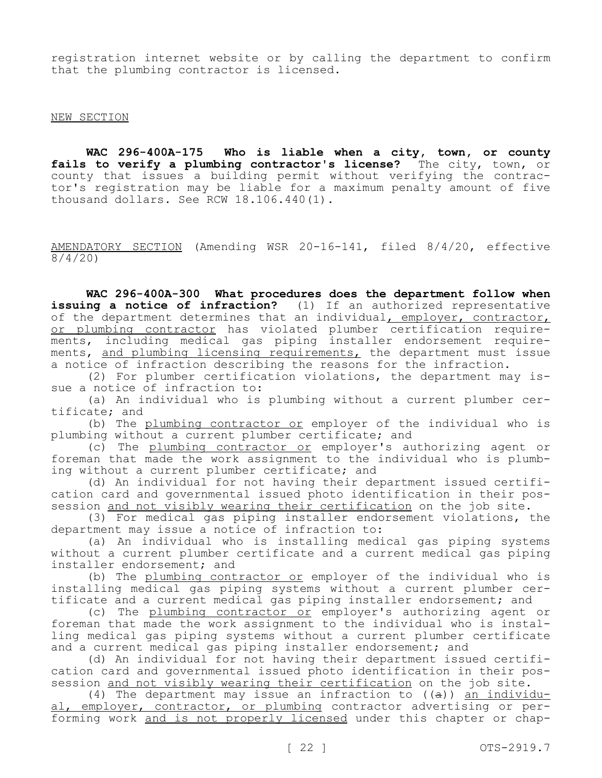registration internet website or by calling the department to confirm that the plumbing contractor is licensed.

### NEW SECTION

**WAC 296-400A-175 Who is liable when a city, town, or county fails to verify a plumbing contractor's license?** The city, town, or county that issues a building permit without verifying the contractor's registration may be liable for a maximum penalty amount of five thousand dollars. See RCW 18.106.440(1).

AMENDATORY SECTION (Amending WSR 20-16-141, filed 8/4/20, effective 8/4/20)

**WAC 296-400A-300 What procedures does the department follow when issuing a notice of infraction?** (1) If an authorized representative of the department determines that an individual<u>, employer, contractor,</u> or plumbing contractor has violated plumber certification requirements, including medical gas piping installer endorsement requirements, and plumbing licensing requirements, the department must issue a notice of infraction describing the reasons for the infraction.

(2) For plumber certification violations, the department may issue a notice of infraction to:

(a) An individual who is plumbing without a current plumber certificate; and

(b) The plumbing contractor or employer of the individual who is plumbing without a current plumber certificate; and

(c) The plumbing contractor or employer's authorizing agent or foreman that made the work assignment to the individual who is plumbing without a current plumber certificate; and

(d) An individual for not having their department issued certification card and governmental issued photo identification in their possession and not visibly wearing their certification on the job site.

(3) For medical gas piping installer endorsement violations, the department may issue a notice of infraction to:

(a) An individual who is installing medical gas piping systems without a current plumber certificate and a current medical gas piping installer endorsement; and

(b) The plumbing contractor or employer of the individual who is installing medical gas piping systems without a current plumber certificate and a current medical gas piping installer endorsement; and

(c) The plumbing contractor or employer's authorizing agent or foreman that made the work assignment to the individual who is installing medical gas piping systems without a current plumber certificate and a current medical gas piping installer endorsement; and

(d) An individual for not having their department issued certification card and governmental issued photo identification in their possession and not visibly wearing their certification on the job site.

(4) The department may issue an infraction to ((a)) an individual, employer, contractor, or plumbing contractor advertising or performing work and is not properly licensed under this chapter or chap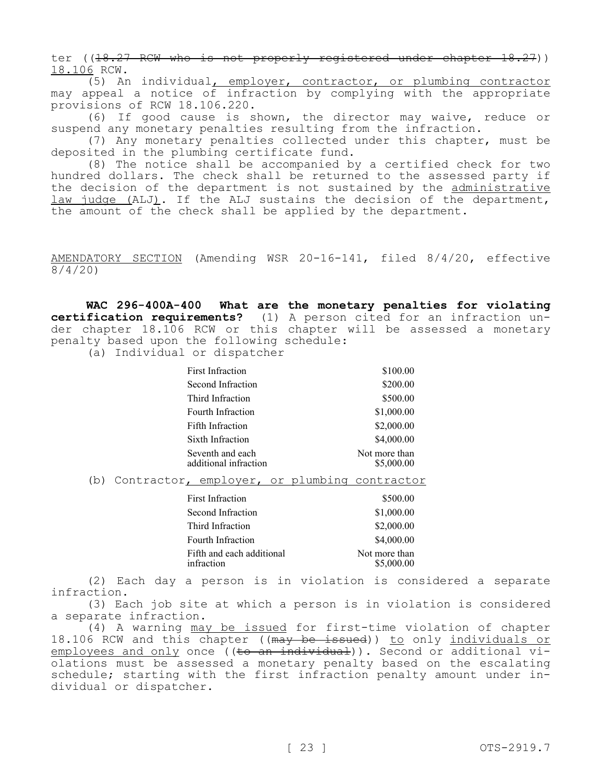ter ((18.27 RCW who is not properly registered under chapter 18.27)) 18.106 RCW.

(5) An individual, employer, contractor, or plumbing contractor may appeal a notice of infraction by complying with the appropriate provisions of RCW 18.106.220.

(6) If good cause is shown, the director may waive, reduce or suspend any monetary penalties resulting from the infraction.

(7) Any monetary penalties collected under this chapter, must be deposited in the plumbing certificate fund.

(8) The notice shall be accompanied by a certified check for two hundred dollars. The check shall be returned to the assessed party if the decision of the department is not sustained by the administrative law judge (ALJ). If the ALJ sustains the decision of the department, the amount of the check shall be applied by the department.

AMENDATORY SECTION (Amending WSR 20-16-141, filed 8/4/20, effective 8/4/20)

**WAC 296-400A-400 What are the monetary penalties for violating certification requirements?** (1) A person cited for an infraction under chapter 18.106 RCW or this chapter will be assessed a monetary penalty based upon the following schedule:

(a) Individual or dispatcher

| First Infraction                          | \$100.00                    |
|-------------------------------------------|-----------------------------|
| Second Infraction                         | \$200.00                    |
| Third Infraction                          | \$500.00                    |
| Fourth Infraction                         | \$1,000.00                  |
| Fifth Infraction                          | \$2,000.00                  |
| Sixth Infraction                          | \$4,000.00                  |
| Seventh and each<br>additional infraction | Not more than<br>\$5,000.00 |

(b) Contractor, employer, or plumbing contractor

| First Infraction                        | \$500.00                    |
|-----------------------------------------|-----------------------------|
| Second Infraction                       | \$1,000.00                  |
| Third Infraction                        | \$2,000.00                  |
| Fourth Infraction                       | \$4,000.00                  |
| Fifth and each additional<br>infraction | Not more than<br>\$5,000.00 |

(2) Each day a person is in violation is considered a separate infraction.

(3) Each job site at which a person is in violation is considered a separate infraction.

(4) A warning may be issued for first-time violation of chapter 18.106 RCW and this chapter ((may be issued)) to only individuals or  $employees$  and only once ((to an individual)). Second or additional violations must be assessed a monetary penalty based on the escalating schedule; starting with the first infraction penalty amount under individual or dispatcher.